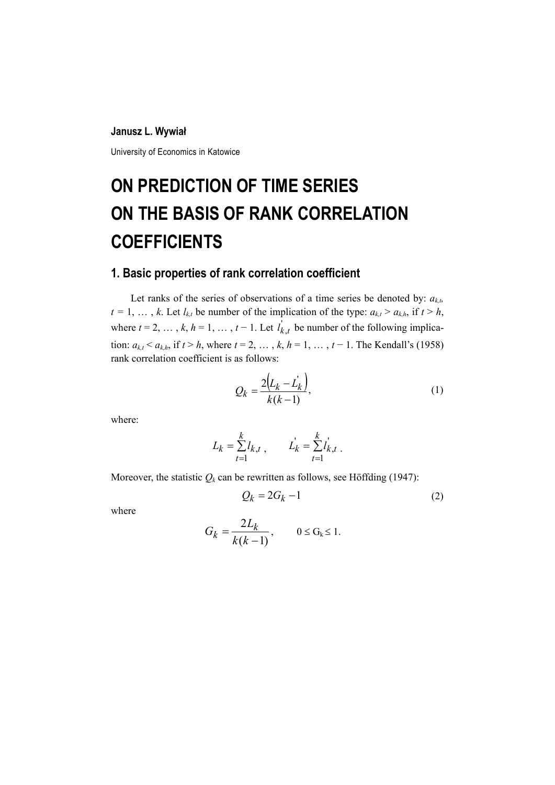#### **Janusz L. Wywiał**

University of Economics in Katowice

# **ON PREDICTION OF TIME SERIES ON THE BASIS OF RANK CORRELATION COEFFICIENTS**

### **1. Basic properties of rank correlation coefficient**

Let ranks of the series of observations of a time series be denoted by:  $a_{k,b}$  $t = 1, \ldots, k$ . Let  $l_{k,t}$  be number of the implication of the type:  $a_{k,t} > a_{k,h}$ , if  $t > h$ , where  $t = 2, \ldots, k, h = 1, \ldots, t - 1$ . Let  $l'_{k,t}$  be number of the following implication:  $a_{k,t} < a_{k,h}$ , if  $t > h$ , where  $t = 2, ..., k, h = 1, ..., t - 1$ . The Kendall's (1958) rank correlation coefficient is as follows:

$$
Q_k = \frac{2(L_k - L'_k)}{k(k-1)},
$$
\n(1)

where:

$$
L_k = \sum_{t=1}^k l_{k,t} , \qquad L_k = \sum_{t=1}^k l_{k,t} .
$$

Moreover, the statistic  $Q_k$  can be rewritten as follows, see Höffding (1947):

$$
Q_k = 2G_k - 1 \tag{2}
$$

where

$$
G_k = \frac{2L_k}{k(k-1)}, \qquad 0 \le G_k \le 1.
$$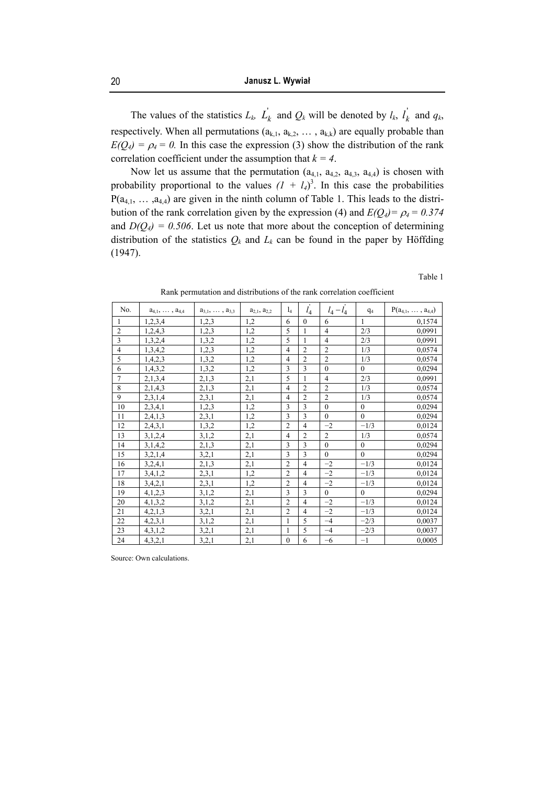The values of the statistics  $L_k$ ,  $\overrightarrow{L}_k$  and  $\overrightarrow{Q}_k$  will be denoted by  $l_k$ ,  $\overrightarrow{l}_k$  and  $q_k$ , respectively. When all permutations  $(a_{k,1}, a_{k,2}, \ldots, a_{k,k})$  are equally probable than  $E(Q_4) = \rho_4 = 0$ . In this case the expression (3) show the distribution of the rank correlation coefficient under the assumption that  $k = 4$ .

Now let us assume that the permutation  $(a_{4,1}, a_{4,2}, a_{4,3}, a_{4,4})$  is chosen with probability proportional to the values  $(I + I_4)^3$ . In this case the probabilities  $P(a_{4,1}, \ldots, a_{4,4})$  are given in the ninth column of Table 1. This leads to the distribution of the rank correlation given by the expression (4) and  $E(Q_4) = \rho_4 = 0.374$ and  $D(Q_4) = 0.506$ . Let us note that more about the conception of determining distribution of the statistics  $Q_k$  and  $L_k$  can be found in the paper by Höffding (1947).

Table 1

|  | Rank permutation and distributions of the rank correlation coefficient |  |  |  |
|--|------------------------------------------------------------------------|--|--|--|
|  |                                                                        |  |  |  |

| No.            | $a_{4,1}, \ldots, a_{4,4}$ | $a_{3,1}, \ldots, a_{3,3}$ | $a_{2,1}$ , $a_{2,2}$ | $l_4$            | $l_4$          | $l_4 - l_4$    | q <sub>4</sub> | $P(a_{4,1}, \ldots, a_{4,4})$ |
|----------------|----------------------------|----------------------------|-----------------------|------------------|----------------|----------------|----------------|-------------------------------|
| 1              | 1,2,3,4                    | 1,2,3                      | 1,2                   | 6                | $\theta$       | 6              | 1              | 0,1574                        |
| $\overline{2}$ | 1,2,4,3                    | 1,2,3                      | 1,2                   | 5                | 1              | $\overline{4}$ | 2/3            | 0,0991                        |
| $\mathfrak{Z}$ | 1,3,2,4                    | 1,3,2                      | 1,2                   | 5                | $\mathbf{1}$   | $\overline{4}$ | 2/3            | 0,0991                        |
| $\overline{4}$ | 1,3,4,2                    | 1,2,3                      | 1,2                   | $\overline{4}$   | $\overline{2}$ | $\overline{2}$ | 1/3            | 0,0574                        |
| 5              | 1,4,2,3                    | 1,3,2                      | 1,2                   | $\overline{4}$   | $\overline{2}$ | $\overline{2}$ | 1/3            | 0,0574                        |
| $\sqrt{6}$     | 1,4,3,2                    | 1,3,2                      | 1,2                   | 3                | 3              | $\mathbf{0}$   | $\theta$       | 0,0294                        |
| $\overline{7}$ | 2,1,3,4                    | 2,1,3                      | 2,1                   | 5                |                | $\overline{4}$ | 2/3            | 0,0991                        |
| $\overline{8}$ | 2,1,4,3                    | 2,1,3                      | 2,1                   | $\overline{4}$   | $\overline{2}$ | $\overline{2}$ | 1/3            | 0,0574                        |
| 9              | 2,3,1,4                    | 2,3,1                      | 2,1                   | $\overline{4}$   | $\overline{2}$ | $\overline{2}$ | 1/3            | 0,0574                        |
| 10             | 2,3,4,1                    | 1,2,3                      | 1,2                   | 3                | 3              | $\mathbf{0}$   | $\mathbf{0}$   | 0,0294                        |
| 11             | 2,4,1,3                    | 2,3,1                      | 1,2                   | 3                | $\overline{3}$ | $\theta$       | $\theta$       | 0,0294                        |
| 12             | 2,4,3,1                    | 1,3,2                      | 1,2                   | $\overline{2}$   | $\overline{4}$ | $-2$           | $-1/3$         | 0,0124                        |
| 13             | 3,1,2,4                    | 3,1,2                      | 2,1                   | $\overline{4}$   | $\overline{2}$ | $\overline{2}$ | 1/3            | 0,0574                        |
| 14             | 3,1,4,2                    | 2,1,3                      | 2,1                   | 3                | 3              | $\theta$       | $\theta$       | 0,0294                        |
| 15             | 3,2,1,4                    | 3,2,1                      | 2,1                   | 3                | 3              | $\theta$       | $\theta$       | 0,0294                        |
| 16             | 3,2,4,1                    | 2,1,3                      | 2,1                   | $\overline{2}$   | $\overline{4}$ | $-2$           | $-1/3$         | 0,0124                        |
| 17             | 3,4,1,2                    | 2,3,1                      | 1,2                   | $\overline{2}$   | $\overline{4}$ | $-2$           | $-1/3$         | 0,0124                        |
| 18             | 3,4,2,1                    | 2,3,1                      | 1,2                   | $\overline{2}$   | $\overline{4}$ | $-2$           | $-1/3$         | 0,0124                        |
| 19             | 4,1,2,3                    | 3,1,2                      | 2,1                   | 3                | 3              | $\theta$       | $\theta$       | 0,0294                        |
| 20             | 4,1,3,2                    | 3,1,2                      | 2,1                   | $\overline{2}$   | $\overline{4}$ | $-2$           | $-1/3$         | 0,0124                        |
| 21             | 4,2,1,3                    | 3,2,1                      | 2,1                   | $\overline{2}$   | $\overline{4}$ | $-2$           | $-1/3$         | 0,0124                        |
| 22             | 4,2,3,1                    | 3,1,2                      | 2,1                   | 1                | 5              | $-4$           | $-2/3$         | 0,0037                        |
| 23             | 4,3,1,2                    | 3,2,1                      | 2,1                   | 1                | 5              | $-4$           | $-2/3$         | 0,0037                        |
| 24             | 4,3,2,1                    | 3,2,1                      | 2,1                   | $\boldsymbol{0}$ | 6              | $-6$           | $-1$           | 0,0005                        |

Source: Own calculations.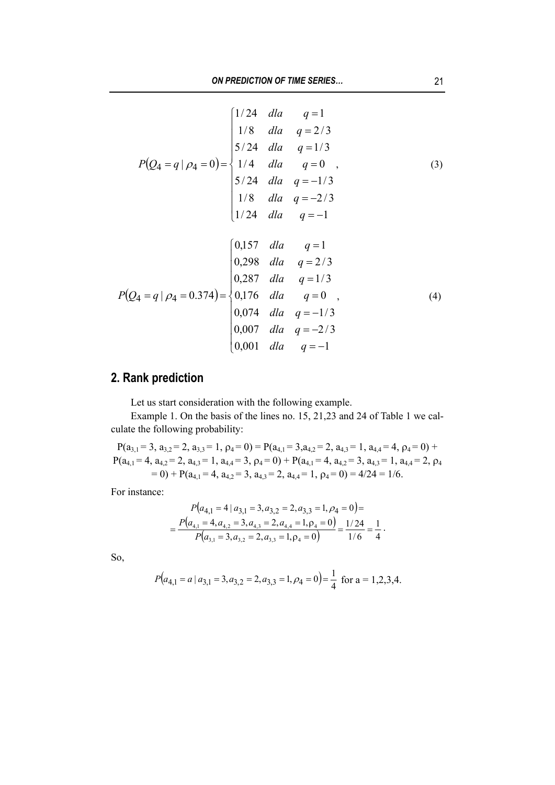$$
P(Q_4 = q | \rho_4 = 0) = \begin{cases} 1/24 & \text{d}la & q = 1 \\ 1/8 & \text{d}la & q = 2/3 \\ 5/24 & \text{d}la & q = 1/3 \\ 1/4 & \text{d}la & q = 0 \\ 5/24 & \text{d}la & q = -1/3 \\ 1/8 & \text{d}la & q = -2/3 \\ 1/24 & \text{d}la & q = -1 \end{cases} \tag{3}
$$
\n
$$
P(Q_4 = q | \rho_4 = 0.374) = \begin{cases} 0,157 & \text{d}la & q = 1 \\ 0,298 & \text{d}la & q = 2/3 \\ 0,287 & \text{d}la & q = 1/3 \\ 0,176 & \text{d}la & q = 0 \\ 0,074 & \text{d}la & q = -1/3 \\ 0,007 & \text{d}la & q = -2/3 \\ 0,001 & \text{d}la & q = -1 \end{cases} \tag{4}
$$

## **2. Rank prediction**

Let us start consideration with the following example.

 $\mathbb{R}^2$ 

Example 1. On the basis of the lines no. 15, 21,23 and 24 of Table 1 we calculate the following probability:

 $P(a_{3,1} = 3, a_{3,2} = 2, a_{3,3} = 1, \rho_4 = 0) = P(a_{4,1} = 3, a_{4,2} = 2, a_{4,3} = 1, a_{4,4} = 4, \rho_4 = 0) +$  $P(a_{4,1} = 4, a_{4,2} = 2, a_{4,3} = 1, a_{4,4} = 3, \rho_4 = 0) + P(a_{4,1} = 4, a_{4,2} = 3, a_{4,3} = 1, a_{4,4} = 2, \rho_4$  $= 0$ ) + P(a<sub>4,1</sub> = 4, a<sub>4,2</sub> = 3, a<sub>4,3</sub> = 2, a<sub>4,4</sub> = 1, p<sub>4</sub> = 0) = 4/24 = 1/6.

For instance:

$$
P(a_{4,1} = 4 | a_{3,1} = 3, a_{3,2} = 2, a_{3,3} = 1, \rho_4 = 0) =
$$
  
= 
$$
\frac{P(a_{4,1} = 4, a_{4,2} = 3, a_{4,3} = 2, a_{4,4} = 1, \rho_4 = 0)}{P(a_{3,1} = 3, a_{3,2} = 2, a_{3,3} = 1, \rho_4 = 0)} = \frac{1/24}{1/6} = \frac{1}{4}.
$$

So,

$$
P\big(a_{4,1} = a \mid a_{3,1} = 3, a_{3,2} = 2, a_{3,3} = 1, \rho_4 = 0\big) = \frac{1}{4} \text{ for a = 1,2,3,4.}
$$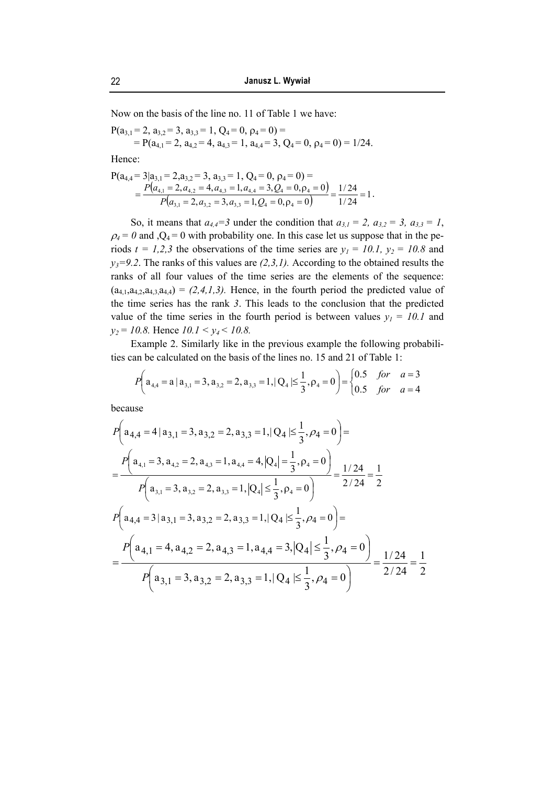Now on the basis of the line no. 11 of Table 1 we have:

 $P(a_{3,1} = 2, a_{3,2} = 3, a_{3,3} = 1, Q_4 = 0, \rho_4 = 0) =$  $= P(a_{4,1} = 2, a_{4,2} = 4, a_{4,3} = 1, a_{4,4} = 3, Q_4 = 0, \rho_4 = 0) = 1/24.$ 

Hence:

$$
P(a_{4,4}=3|a_{3,1}=2,a_{3,2}=3, a_{3,3}=1, Q_4=0, \rho_4=0)=
$$
  
= 
$$
\frac{P(a_{4,1}=2,a_{4,2}=4,a_{4,3}=1,a_{4,4}=3,Q_4=0,\rho_4=0)}{P(a_{3,1}=2,a_{3,2}=3,a_{3,3}=1,Q_4=0,\rho_4=0)}=\frac{1/24}{1/24}=1.
$$

So, it means that  $a_{4,4}=3$  under the condition that  $a_{3,1}=2$ ,  $a_{3,2}=3$ ,  $a_{3,3}=1$ ,  $\rho_4 = 0$  and  $Q_4 = 0$  with probability one. In this case let us suppose that in the periods  $t = 1,2,3$  the observations of the time series are  $y_1 = 10.1$ ,  $y_2 = 10.8$  and  $y_3=9.2$ . The ranks of this values are  $(2,3,1)$ . According to the obtained results the ranks of all four values of the time series are the elements of the sequence:  $(a_{4,1},a_{4,2},a_{4,3},a_{4,4}) = (2,4,1,3)$ . Hence, in the fourth period the predicted value of the time series has the rank *3*. This leads to the conclusion that the predicted value of the time series in the fourth period is between values  $y_1 = 10.1$  and *y2 = 10.8.* Hence *10.1 < y4 < 10.8.* 

Example 2. Similarly like in the previous example the following probabilities can be calculated on the basis of the lines no. 15 and 21 of Table 1:

$$
P\left(a_{4,4} = a \mid a_{3,1} = 3, a_{3,2} = 2, a_{3,3} = 1, |Q_4| \le \frac{1}{3}, \rho_4 = 0\right) = \begin{cases} 0.5 & \text{for} \quad a = 3\\ 0.5 & \text{for} \quad a = 4 \end{cases}
$$

because

$$
P\left(a_{4,4} = 4 | a_{3,1} = 3, a_{3,2} = 2, a_{3,3} = 1, | Q_4 | \leq \frac{1}{3}, \rho_4 = 0\right) =
$$
\n
$$
= \frac{P\left(a_{4,1} = 3, a_{4,2} = 2, a_{4,3} = 1, a_{4,4} = 4, | Q_4 | = \frac{1}{3}, \rho_4 = 0\right)}{P\left(a_{3,1} = 3, a_{3,2} = 2, a_{3,3} = 1, | Q_4 | \leq \frac{1}{3}, \rho_4 = 0\right)} = \frac{1/24}{2/24} = \frac{1}{2}
$$
\n
$$
P\left(a_{4,4} = 3 | a_{3,1} = 3, a_{3,2} = 2, a_{3,3} = 1, | Q_4 | \leq \frac{1}{3}, \rho_4 = 0\right) =
$$
\n
$$
= \frac{P\left(a_{4,1} = 4, a_{4,2} = 2, a_{4,3} = 1, a_{4,4} = 3, | Q_4 | \leq \frac{1}{3}, \rho_4 = 0\right)}{P\left(a_{3,1} = 3, a_{3,2} = 2, a_{3,3} = 1, | Q_4 | \leq \frac{1}{3}, \rho_4 = 0\right)} = \frac{1/24}{2/24} = \frac{1}{2}
$$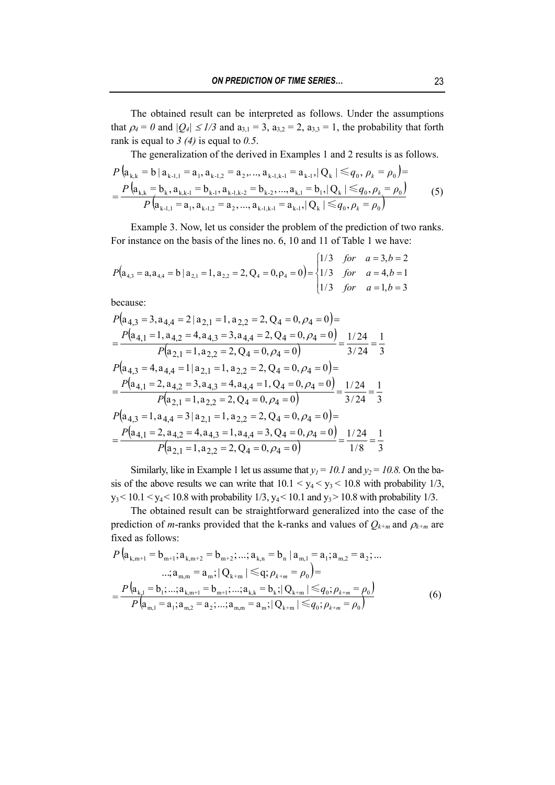The obtained result can be interpreted as follows. Under the assumptions that  $\rho_4 = 0$  and  $|Q_4| \leq 1/3$  and  $a_{3,1} = 3$ ,  $a_{3,2} = 2$ ,  $a_{3,3} = 1$ , the probability that forth rank is equal to *3 (4)* is equal to *0.5*.

The generalization of the derived in Examples 1 and 2 results is as follows.

$$
P\left(\mathbf{a}_{k,k} = \mathbf{b} \mid \mathbf{a}_{k-1,1} = \mathbf{a}_{1}, \mathbf{a}_{k-1,2} = \mathbf{a}_{2}, ..., \mathbf{a}_{k-1,k-1} = \mathbf{a}_{k-1}, |Q_{k}| \leq q_{0}, \rho_{k} = \rho_{0}\right) =
$$
\n
$$
= \frac{P\left(\mathbf{a}_{k,k} = \mathbf{b}_{k}, \mathbf{a}_{k,k-1} = \mathbf{b}_{k-1}, \mathbf{a}_{k-1,k-2} = \mathbf{b}_{k-2}, ..., \mathbf{a}_{k-1} = \mathbf{b}_{1}, |Q_{k}| \leq q_{0}, \rho_{k} = \rho_{0}\right)}{P\left(\mathbf{a}_{k-1,1} = \mathbf{a}_{1}, \mathbf{a}_{k-1,2} = \mathbf{a}_{2}, ..., \mathbf{a}_{k-1,k-1} = \mathbf{a}_{k-1}, |Q_{k}| \leq q_{0}, \rho_{k} = \rho_{0}\right)} \tag{5}
$$

Example 3. Now, let us consider the problem of the prediction of two ranks. For instance on the basis of the lines no. 6, 10 and 11 of Table 1 we have:

$$
P(a_{4,3} = a, a_{4,4} = b \mid a_{2,1} = 1, a_{2,2} = 2, Q_4 = 0, \rho_4 = 0) = \begin{cases} 1/3 & \text{for} & a = 3, b = 2 \\ 1/3 & \text{for} & a = 4, b = 1 \\ 1/3 & \text{for} & a = 1, b = 3 \end{cases}
$$

because:

$$
P(a_{4,3} = 3, a_{4,4} = 2 | a_{2,1} = 1, a_{2,2} = 2, Q_4 = 0, \rho_4 = 0) =
$$
\n
$$
= \frac{P(a_{4,1} = 1, a_{4,2} = 4, a_{4,3} = 3, a_{4,4} = 2, Q_4 = 0, \rho_4 = 0)}{P(a_{2,1} = 1, a_{2,2} = 2, Q_4 = 0, \rho_4 = 0)} = \frac{1/24}{3/24} = \frac{1}{3}
$$
\n
$$
P(a_{4,3} = 4, a_{4,4} = 1 | a_{2,1} = 1, a_{2,2} = 2, Q_4 = 0, \rho_4 = 0) =
$$
\n
$$
= \frac{P(a_{4,1} = 2, a_{4,2} = 3, a_{4,3} = 4, a_{4,4} = 1, Q_4 = 0, \rho_4 = 0)}{P(a_{2,1} = 1, a_{2,2} = 2, Q_4 = 0, \rho_4 = 0)} = \frac{1/24}{3/24} = \frac{1}{3}
$$
\n
$$
P(a_{4,3} = 1, a_{4,4} = 3 | a_{2,1} = 1, a_{2,2} = 2, Q_4 = 0, \rho_4 = 0) =
$$
\n
$$
= \frac{P(a_{4,1} = 2, a_{4,2} = 4, a_{4,3} = 1, a_{4,4} = 3, Q_4 = 0, \rho_4 = 0)}{P(a_{2,1} = 1, a_{2,2} = 2, Q_4 = 0, \rho_4 = 0)} = \frac{1/24}{1/8} = \frac{1}{3}
$$

Similarly, like in Example 1 let us assume that  $y_1 = 10.1$  and  $y_2 = 10.8$ . On the basis of the above results we can write that  $10.1 \le y_4 \le y_3 \le 10.8$  with probability 1/3,  $y_3 < 10.1 < y_4 < 10.8$  with probability 1/3,  $y_4 < 10.1$  and  $y_3 > 10.8$  with probability 1/3.

The obtained result can be straightforward generalized into the case of the prediction of *m*-ranks provided that the k-ranks and values of  $Q_{k+m}$  and  $\rho_{k+m}$  are fixed as follows:

$$
P\left(\mathbf{a}_{k,m+1}=\mathbf{b}_{m+1};\mathbf{a}_{k,m+2}=\mathbf{b}_{m+2};\ldots;\mathbf{a}_{k,n}=\mathbf{b}_{n} \mid \mathbf{a}_{m,1}=\mathbf{a}_{1};\mathbf{a}_{m,2}=\mathbf{a}_{2};\ldots
$$
  
\ldots; $\mathbf{a}_{m,m}=\mathbf{a}_{m}; |Q_{k+m}| \leq q; \rho_{k+m}=\rho_{0}\right)=$   
\n
$$
=\frac{P\left(\mathbf{a}_{k,1}=\mathbf{b}_{1};\ldots;\mathbf{a}_{k,m+1}=\mathbf{b}_{m+1};\ldots;\mathbf{a}_{k,k}=\mathbf{b}_{k};|Q_{k+m}| \leq q_{0};\rho_{k+m}=\rho_{0}\right)}{P\left(\mathbf{a}_{m,1}=\mathbf{a}_{1};\mathbf{a}_{m,2}=\mathbf{a}_{2};\ldots;\mathbf{a}_{m,m}=\mathbf{a}_{m};|Q_{k+m}| \leq q_{0};\rho_{k+m}=\rho_{0}\right)}
$$
(6)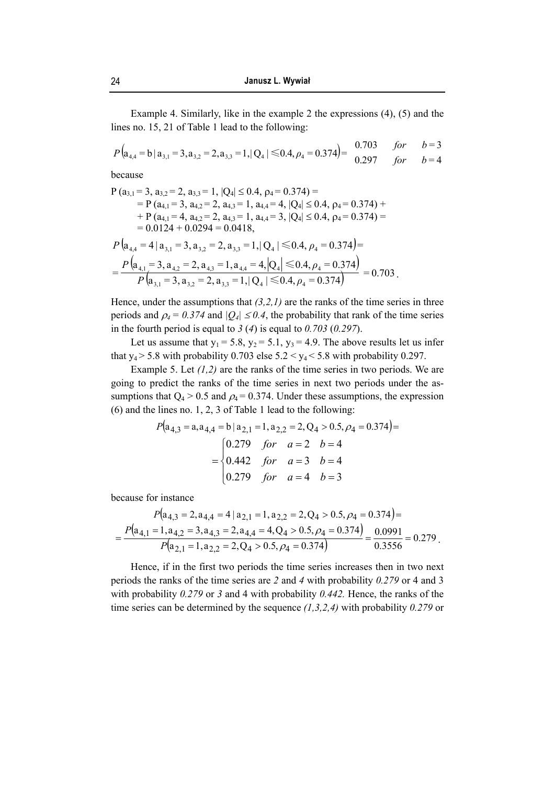Example 4. Similarly, like in the example 2 the expressions (4), (5) and the lines no. 15, 21 of Table 1 lead to the following:

$$
P\left(\mathbf{a}_{4,4} = \mathbf{b} \mid \mathbf{a}_{3,1} = 3, \mathbf{a}_{3,2} = 2, \mathbf{a}_{3,3} = 1, |Q_4| \le 0.4, \rho_4 = 0.374\right) = \begin{array}{cc} 0.703 & \text{for} & b=3\\ 0.297 & \text{for} & b=4 \end{array}
$$

because

$$
P (a_{3,1} = 3, a_{3,2} = 2, a_{3,3} = 1, |Q_4| \le 0.4, \rho_4 = 0.374) =
$$
  
=  $P (a_{4,1} = 3, a_{4,2} = 2, a_{4,3} = 1, a_{4,4} = 4, |Q_4| \le 0.4, \rho_4 = 0.374) +$   
+  $P (a_{4,1} = 4, a_{4,2} = 2, a_{4,3} = 1, a_{4,4} = 3, |Q_4| \le 0.4, \rho_4 = 0.374) =$   
= 0.0124 + 0.0294 = 0.0418,  
 $P (a_{4,4} = 4 | a_{3,1} = 3, a_{3,2} = 2, a_{3,3} = 1, |Q_4| \le 0.4, \rho_4 = 0.374) =$   
 $= \frac{P (a_{4,1} = 3, a_{4,2} = 2, a_{4,3} = 1, a_{4,4} = 4, |Q_4| \le 0.4, \rho_4 = 0.374)}{P (a_{3,1} = 3, a_{3,2} = 2, a_{3,3} = 1, |Q_4| \le 0.4, \rho_4 = 0.374)} = 0.703$ .

Hence, under the assumptions that  $(3,2,1)$  are the ranks of the time series in three periods and  $\rho_4 = 0.374$  and  $|Q_4| \leq 0.4$ , the probability that rank of the time series in the fourth period is equal to *3* (*4*) is equal to *0.703* (*0.297*).

Let us assume that  $y_1 = 5.8$ ,  $y_2 = 5.1$ ,  $y_3 = 4.9$ . The above results let us infer that  $y_4$  > 5.8 with probability 0.703 else 5.2 <  $y_4$  < 5.8 with probability 0.297.

Example 5. Let *(1,2)* are the ranks of the time series in two periods. We are going to predict the ranks of the time series in next two periods under the assumptions that  $Q_4 > 0.5$  and  $\rho_4 = 0.374$ . Under these assumptions, the expression (6) and the lines no. 1, 2, 3 of Table 1 lead to the following:

$$
P(a_{4,3} = a, a_{4,4} = b | a_{2,1} = 1, a_{2,2} = 2, Q_4 > 0.5, \rho_4 = 0.374) =
$$
  
= 
$$
\begin{cases} 0.279 & \text{for} \quad a = 2 & b = 4\\ 0.442 & \text{for} \quad a = 3 & b = 4\\ 0.279 & \text{for} \quad a = 4 & b = 3 \end{cases}
$$

because for instance

$$
P(a_{4,3} = 2, a_{4,4} = 4 | a_{2,1} = 1, a_{2,2} = 2, Q_4 > 0.5, \rho_4 = 0.374) =
$$
  
= 
$$
\frac{P(a_{4,1} = 1, a_{4,2} = 3, a_{4,3} = 2, a_{4,4} = 4, Q_4 > 0.5, \rho_4 = 0.374)}{P(a_{2,1} = 1, a_{2,2} = 2, Q_4 > 0.5, \rho_4 = 0.374)} = \frac{0.0991}{0.3556} = 0.279.
$$

Hence, if in the first two periods the time series increases then in two next periods the ranks of the time series are *2* and *4* with probability *0.279* or 4 and 3 with probability *0.279* or *3* and 4 with probability *0.442.* Hence, the ranks of the time series can be determined by the sequence *(1,3,2,4)* with probability *0.279* or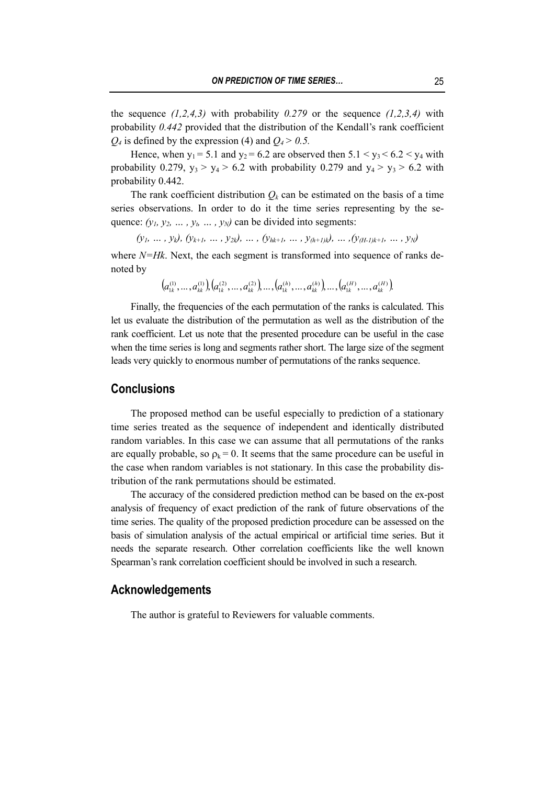the sequence  $(1,2,4,3)$  with probability 0.279 or the sequence  $(1,2,3,4)$  with probability *0.442* provided that the distribution of the Kendall's rank coefficient  $Q_4$  is defined by the expression (4) and  $Q_4 > 0.5$ .

Hence, when  $y_1 = 5.1$  and  $y_2 = 6.2$  are observed then  $5.1 \le y_3 \le 6.2 \le y_4$  with probability 0.279,  $y_3 > y_4 > 6.2$  with probability 0.279 and  $y_4 > y_3 > 6.2$  with probability 0.442.

The rank coefficient distribution  $Q_k$  can be estimated on the basis of a time series observations. In order to do it the time series representing by the sequence:  $(y_1, y_2, \ldots, y_n, \ldots, y_N)$  can be divided into segments:

 $(y_1, ..., y_k), (y_{k+1}, ..., y_{2k}), ..., (y_{hk+1}, ..., y_{(h+1)k}), ..., (y_{(H-1)k+1}, ..., y_N)$ 

where *N=Hk*. Next, the each segment is transformed into sequence of ranks denoted by

$$
\left(a_{1k}^{(1)},\dots,a_{kk}^{(1)}\right)\left(a_{1k}^{(2)},\dots,a_{kk}^{(2)}\right)\dots,\left(a_{1k}^{(h)},\dots,a_{kk}^{(h)}\right)\dots,\left(a_{1k}^{(H)},\dots,a_{kk}^{(H)}\right)
$$

Finally, the frequencies of the each permutation of the ranks is calculated. This let us evaluate the distribution of the permutation as well as the distribution of the rank coefficient. Let us note that the presented procedure can be useful in the case when the time series is long and segments rather short. The large size of the segment leads very quickly to enormous number of permutations of the ranks sequence.

#### **Conclusions**

The proposed method can be useful especially to prediction of a stationary time series treated as the sequence of independent and identically distributed random variables. In this case we can assume that all permutations of the ranks are equally probable, so  $\rho_k = 0$ . It seems that the same procedure can be useful in the case when random variables is not stationary. In this case the probability distribution of the rank permutations should be estimated.

The accuracy of the considered prediction method can be based on the ex-post analysis of frequency of exact prediction of the rank of future observations of the time series. The quality of the proposed prediction procedure can be assessed on the basis of simulation analysis of the actual empirical or artificial time series. But it needs the separate research. Other correlation coefficients like the well known Spearman's rank correlation coefficient should be involved in such a research.

#### **Acknowledgements**

The author is grateful to Reviewers for valuable comments.